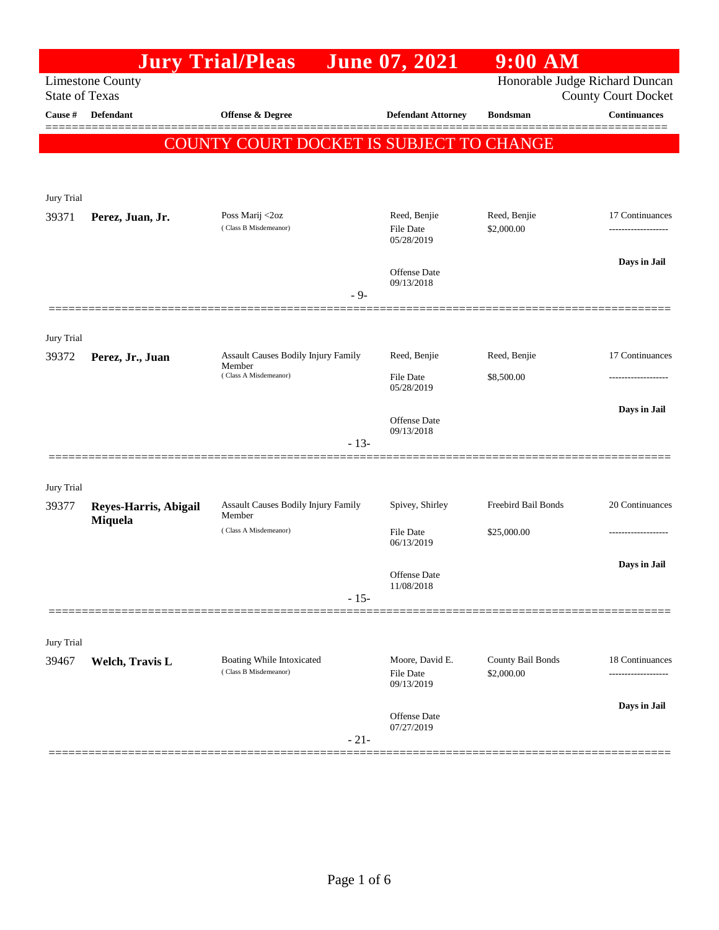|                       |                                  | <b>Jury Trial/Pleas</b>                       |        | <b>June 07, 2021</b>           | $9:00$ AM           |                                                              |
|-----------------------|----------------------------------|-----------------------------------------------|--------|--------------------------------|---------------------|--------------------------------------------------------------|
| <b>State of Texas</b> | <b>Limestone County</b>          |                                               |        |                                |                     | Honorable Judge Richard Duncan<br><b>County Court Docket</b> |
| Cause #               | <b>Defendant</b>                 | <b>Offense &amp; Degree</b>                   |        | <b>Defendant Attorney</b>      | <b>Bondsman</b>     | <b>Continuances</b>                                          |
|                       |                                  | COUNTY COURT DOCKET IS SUBJECT TO CHANGE      |        |                                |                     |                                                              |
|                       |                                  |                                               |        |                                |                     |                                                              |
| Jury Trial            |                                  |                                               |        |                                |                     |                                                              |
| 39371                 | Perez, Juan, Jr.                 | Poss Marij <2oz                               |        | Reed, Benjie                   | Reed, Benjie        | 17 Continuances                                              |
|                       |                                  | (Class B Misdemeanor)                         |        | <b>File Date</b><br>05/28/2019 | \$2,000.00          |                                                              |
|                       |                                  |                                               |        |                                |                     | Days in Jail                                                 |
|                       |                                  |                                               |        | Offense Date<br>09/13/2018     |                     |                                                              |
|                       |                                  |                                               | - 9-   |                                |                     |                                                              |
| Jury Trial            |                                  |                                               |        |                                |                     |                                                              |
| 39372                 | Perez, Jr., Juan                 | <b>Assault Causes Bodily Injury Family</b>    |        | Reed, Benjie                   | Reed, Benjie        | 17 Continuances                                              |
|                       |                                  | Member<br>(Class A Misdemeanor)               |        | <b>File Date</b>               | \$8,500.00          |                                                              |
|                       |                                  |                                               |        | 05/28/2019                     |                     |                                                              |
|                       |                                  |                                               |        | Offense Date<br>09/13/2018     |                     | Days in Jail                                                 |
|                       |                                  |                                               | $-13-$ |                                |                     |                                                              |
|                       |                                  |                                               |        |                                |                     |                                                              |
| Jury Trial            |                                  |                                               |        |                                |                     |                                                              |
| 39377                 | Reyes-Harris, Abigail<br>Miquela | Assault Causes Bodily Injury Family<br>Member |        | Spivey, Shirley                | Freebird Bail Bonds | 20 Continuances                                              |
|                       |                                  | (Class A Misdemeanor)                         |        | <b>File Date</b><br>06/13/2019 | \$25,000.00         |                                                              |
|                       |                                  |                                               |        |                                |                     | Days in Jail                                                 |
|                       |                                  |                                               |        | Offense Date<br>11/08/2018     |                     |                                                              |
|                       |                                  |                                               | $-15-$ |                                |                     |                                                              |
|                       |                                  |                                               |        |                                |                     |                                                              |
| Jury Trial<br>39467   | <b>Welch, Travis L</b>           | Boating While Intoxicated                     |        | Moore, David E.                | County Bail Bonds   | 18 Continuances                                              |
|                       |                                  | (Class B Misdemeanor)                         |        | File Date<br>09/13/2019        | \$2,000.00          |                                                              |
|                       |                                  |                                               |        |                                |                     | Days in Jail                                                 |
|                       |                                  |                                               |        | Offense Date<br>07/27/2019     |                     |                                                              |
|                       |                                  |                                               | $-21-$ |                                |                     |                                                              |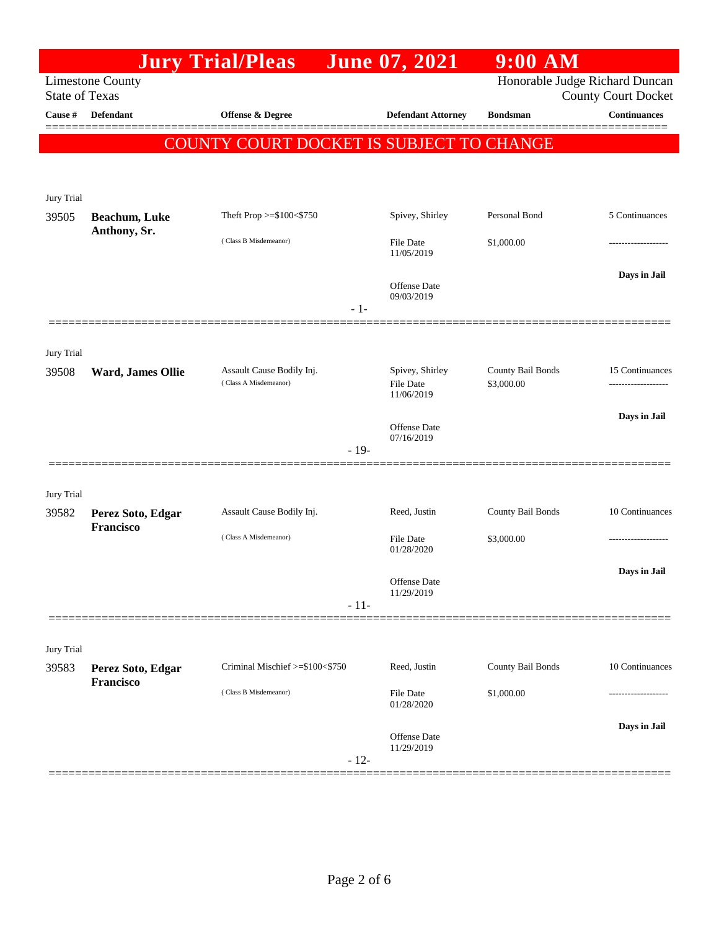|                       |                                       | <b>Jury Trial/Pleas</b>                            |        | June 07, 2021                       | $9:00$ AM                       |                                                              |
|-----------------------|---------------------------------------|----------------------------------------------------|--------|-------------------------------------|---------------------------------|--------------------------------------------------------------|
| <b>State of Texas</b> | <b>Limestone County</b>               |                                                    |        |                                     |                                 | Honorable Judge Richard Duncan<br><b>County Court Docket</b> |
| Cause #               | <b>Defendant</b>                      | <b>Offense &amp; Degree</b>                        |        | <b>Defendant Attorney</b>           | <b>Bondsman</b>                 | <b>Continuances</b>                                          |
|                       |                                       | COUNTY COURT DOCKET IS SUBJECT TO CHANGE           |        |                                     |                                 |                                                              |
|                       |                                       |                                                    |        |                                     |                                 |                                                              |
| Jury Trial            |                                       |                                                    |        |                                     |                                 |                                                              |
| 39505                 | Beachum, Luke                         | Theft Prop >=\$100<\$750                           |        | Spivey, Shirley                     | Personal Bond                   | 5 Continuances                                               |
|                       | Anthony, Sr.                          | (Class B Misdemeanor)                              |        | <b>File Date</b><br>11/05/2019      | \$1,000.00                      | -----------------                                            |
|                       |                                       |                                                    | $-1-$  | Offense Date<br>09/03/2019          |                                 | Days in Jail                                                 |
|                       |                                       |                                                    |        |                                     |                                 |                                                              |
| Jury Trial<br>39508   | Ward, James Ollie                     | Assault Cause Bodily Inj.<br>(Class A Misdemeanor) |        | Spivey, Shirley<br><b>File Date</b> | County Bail Bonds<br>\$3,000.00 | 15 Continuances<br>------------------                        |
|                       |                                       |                                                    |        | 11/06/2019                          |                                 |                                                              |
|                       |                                       |                                                    | $-19-$ | Offense Date<br>07/16/2019          |                                 | Days in Jail                                                 |
|                       |                                       |                                                    |        |                                     |                                 |                                                              |
| Jury Trial            |                                       |                                                    |        |                                     |                                 |                                                              |
| 39582                 | Perez Soto, Edgar<br><b>Francisco</b> | Assault Cause Bodily Inj.                          |        | Reed, Justin                        | County Bail Bonds               | 10 Continuances                                              |
|                       |                                       | (Class A Misdemeanor)                              |        | <b>File Date</b><br>01/28/2020      | \$3,000.00                      | ----------------                                             |
|                       |                                       |                                                    |        | Offense Date<br>11/29/2019          |                                 | Days in Jail                                                 |
|                       |                                       |                                                    | $-11-$ |                                     |                                 |                                                              |
| Jury Trial            |                                       |                                                    |        |                                     |                                 |                                                              |
| 39583                 | Perez Soto, Edgar<br>Francisco        | Criminal Mischief >=\$100<\$750                    |        | Reed, Justin                        | County Bail Bonds               | 10 Continuances                                              |
|                       |                                       | (Class B Misdemeanor)                              |        | <b>File Date</b><br>01/28/2020      | \$1,000.00                      |                                                              |
|                       |                                       |                                                    | $-12-$ | <b>Offense Date</b><br>11/29/2019   |                                 | Days in Jail                                                 |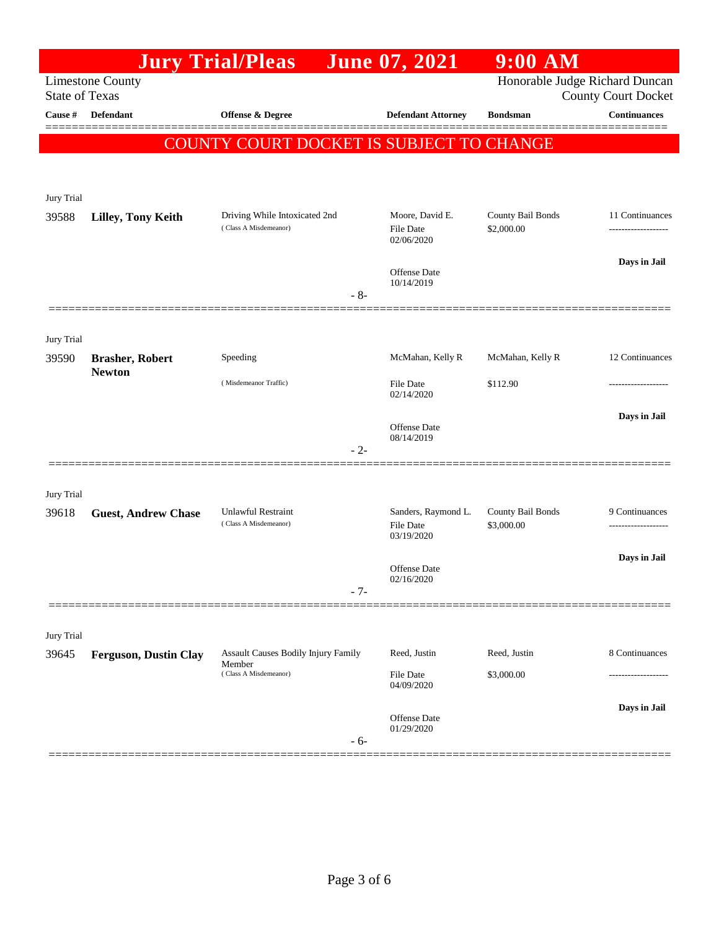|                       |                                         | <b>Jury Trial/Pleas</b>                       |       | <b>June 07, 2021</b>              | $9:00$ AM                |                                                              |
|-----------------------|-----------------------------------------|-----------------------------------------------|-------|-----------------------------------|--------------------------|--------------------------------------------------------------|
| <b>State of Texas</b> | <b>Limestone County</b>                 |                                               |       |                                   |                          | Honorable Judge Richard Duncan<br><b>County Court Docket</b> |
| Cause #               | <b>Defendant</b>                        | <b>Offense &amp; Degree</b>                   |       | <b>Defendant Attorney</b>         | <b>Bondsman</b>          | <b>Continuances</b>                                          |
|                       |                                         | COUNTY COURT DOCKET IS SUBJECT TO CHANGE      |       |                                   |                          |                                                              |
|                       |                                         |                                               |       |                                   |                          |                                                              |
| Jury Trial            |                                         |                                               |       |                                   |                          |                                                              |
| 39588                 | <b>Lilley, Tony Keith</b>               | Driving While Intoxicated 2nd                 |       | Moore, David E.                   | County Bail Bonds        | 11 Continuances                                              |
|                       |                                         | (Class A Misdemeanor)                         |       | File Date<br>02/06/2020           | \$2,000.00               | -------------------                                          |
|                       |                                         |                                               |       | Offense Date                      |                          | Days in Jail                                                 |
|                       |                                         |                                               | $-8-$ | 10/14/2019                        |                          |                                                              |
|                       |                                         |                                               |       |                                   |                          |                                                              |
| Jury Trial            |                                         |                                               |       |                                   |                          |                                                              |
| 39590                 | <b>Brasher, Robert</b><br><b>Newton</b> | Speeding                                      |       | McMahan, Kelly R                  | McMahan, Kelly R         | 12 Continuances                                              |
|                       |                                         | (Misdemeanor Traffic)                         |       | File Date<br>02/14/2020           | \$112.90                 |                                                              |
|                       |                                         |                                               |       |                                   |                          | Days in Jail                                                 |
|                       |                                         |                                               |       | <b>Offense</b> Date<br>08/14/2019 |                          |                                                              |
|                       |                                         |                                               | $-2-$ |                                   |                          |                                                              |
| Jury Trial            |                                         |                                               |       |                                   |                          |                                                              |
| 39618                 | <b>Guest, Andrew Chase</b>              | Unlawful Restraint                            |       | Sanders, Raymond L.               | <b>County Bail Bonds</b> | 9 Continuances                                               |
|                       |                                         | (Class A Misdemeanor)                         |       | File Date<br>03/19/2020           | \$3,000.00               | -------------------                                          |
|                       |                                         |                                               |       | Offense Date                      |                          | Days in Jail                                                 |
|                       |                                         |                                               | $-7-$ | 02/16/2020                        |                          |                                                              |
|                       |                                         |                                               |       |                                   |                          |                                                              |
| Jury Trial            |                                         |                                               |       |                                   |                          |                                                              |
| 39645                 | <b>Ferguson, Dustin Clay</b>            | Assault Causes Bodily Injury Family<br>Member |       | Reed, Justin                      | Reed, Justin             | 8 Continuances                                               |
|                       |                                         | (Class A Misdemeanor)                         |       | File Date<br>04/09/2020           | \$3,000.00               | .                                                            |
|                       |                                         |                                               |       | <b>Offense</b> Date               |                          | Days in Jail                                                 |
|                       |                                         |                                               | $-6-$ | 01/29/2020                        |                          |                                                              |
|                       |                                         |                                               |       |                                   |                          |                                                              |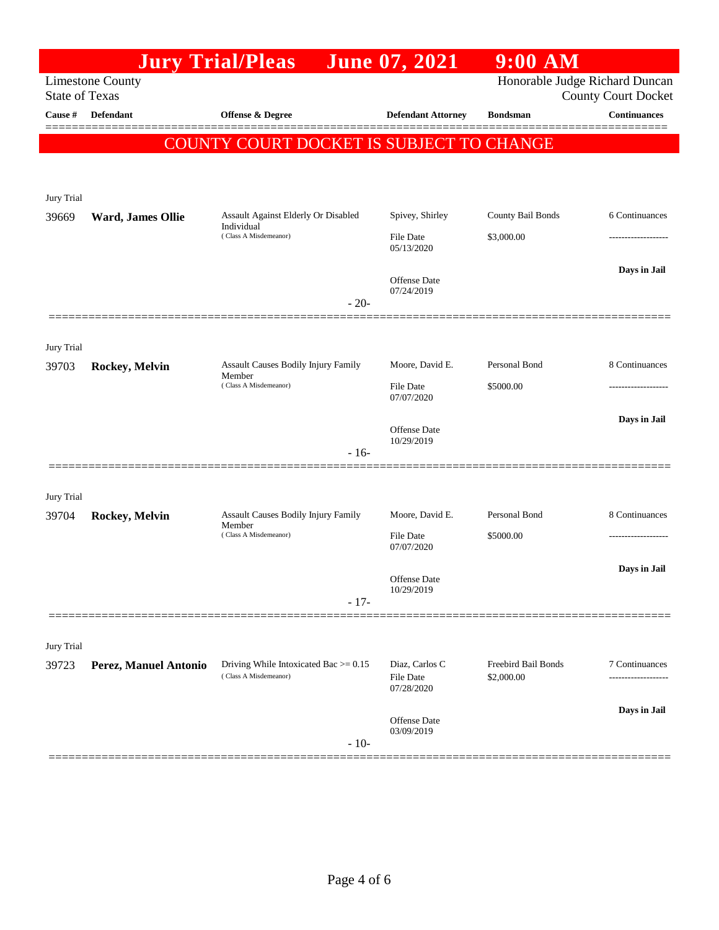|                       |                         | <b>Jury Trial/Pleas</b>                                                       | <b>June 07, 2021</b>                | $9:00$ AM                         |                            |
|-----------------------|-------------------------|-------------------------------------------------------------------------------|-------------------------------------|-----------------------------------|----------------------------|
| <b>State of Texas</b> | <b>Limestone County</b> |                                                                               |                                     | Honorable Judge Richard Duncan    | <b>County Court Docket</b> |
| Cause #               | <b>Defendant</b>        | <b>Offense &amp; Degree</b>                                                   | <b>Defendant Attorney</b>           | <b>Bondsman</b>                   | <b>Continuances</b>        |
|                       |                         | COUNTY COURT DOCKET IS SUBJECT TO CHANGE                                      |                                     |                                   |                            |
|                       |                         |                                                                               |                                     |                                   |                            |
| Jury Trial            |                         |                                                                               |                                     |                                   |                            |
| 39669                 | Ward, James Ollie       | Assault Against Elderly Or Disabled<br>Individual                             | Spivey, Shirley                     | County Bail Bonds                 | 6 Continuances             |
|                       |                         | (Class A Misdemeanor)                                                         | <b>File Date</b><br>05/13/2020      | \$3,000.00                        |                            |
|                       |                         |                                                                               | Offense Date                        |                                   | Days in Jail               |
|                       |                         | $-20-$                                                                        | 07/24/2019                          |                                   |                            |
|                       |                         |                                                                               |                                     |                                   |                            |
| Jury Trial            |                         |                                                                               |                                     |                                   |                            |
| 39703                 | Rockey, Melvin          | <b>Assault Causes Bodily Injury Family</b><br>Member<br>(Class A Misdemeanor) | Moore, David E.                     | Personal Bond                     | 8 Continuances             |
|                       |                         |                                                                               | <b>File Date</b><br>07/07/2020      | \$5000.00                         | -----------------          |
|                       |                         |                                                                               | <b>Offense</b> Date                 |                                   | Days in Jail               |
|                       |                         | $-16-$                                                                        | 10/29/2019                          |                                   |                            |
|                       |                         |                                                                               |                                     |                                   |                            |
| Jury Trial            |                         | <b>Assault Causes Bodily Injury Family</b>                                    |                                     | Personal Bond                     | 8 Continuances             |
| 39704                 | Rockey, Melvin          | Member<br>(Class A Misdemeanor)                                               | Moore, David E.<br><b>File Date</b> | \$5000.00                         |                            |
|                       |                         |                                                                               | 07/07/2020                          |                                   |                            |
|                       |                         |                                                                               | Offense Date<br>10/29/2019          |                                   | Days in Jail               |
|                       |                         | $-17-$                                                                        |                                     |                                   |                            |
|                       |                         |                                                                               |                                     |                                   |                            |
| Jury Trial<br>39723   | Perez, Manuel Antonio   | Driving While Intoxicated Bac $>= 0.15$                                       | Diaz, Carlos C                      | Freebird Bail Bonds<br>\$2,000.00 | 7 Continuances             |
|                       |                         | (Class A Misdemeanor)                                                         | <b>File Date</b><br>07/28/2020      |                                   |                            |
|                       |                         |                                                                               |                                     |                                   | Days in Jail               |
|                       |                         | $-10-$                                                                        | <b>Offense</b> Date<br>03/09/2019   |                                   |                            |
|                       |                         |                                                                               |                                     |                                   |                            |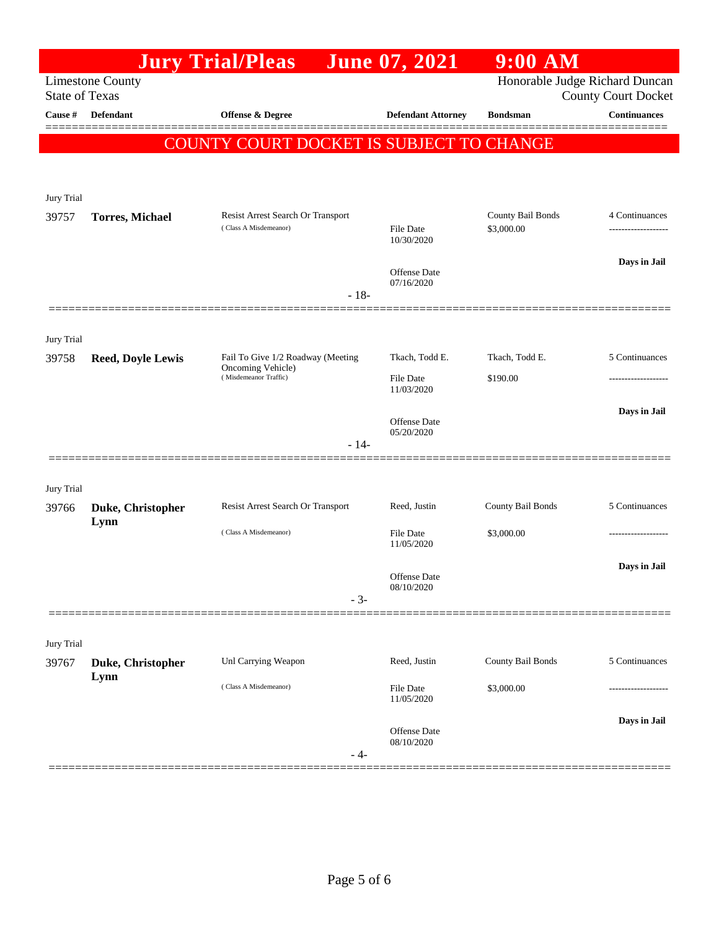| <b>June 07, 2021</b><br><b>Jury Trial/Pleas</b><br><b>Limestone County</b><br><b>State of Texas</b><br>Cause #<br><b>Defendant</b><br><b>Offense &amp; Degree</b><br><b>Defendant Attorney</b><br><b>Bondsman</b> | Honorable Judge Richard Duncan<br><b>County Court Docket</b><br><b>Continuances</b> |
|-------------------------------------------------------------------------------------------------------------------------------------------------------------------------------------------------------------------|-------------------------------------------------------------------------------------|
|                                                                                                                                                                                                                   |                                                                                     |
|                                                                                                                                                                                                                   |                                                                                     |
| 'Y COURT DOCKET IS SUBJECT TO CHANGE<br>COUNT                                                                                                                                                                     |                                                                                     |
|                                                                                                                                                                                                                   |                                                                                     |
|                                                                                                                                                                                                                   |                                                                                     |
| Jury Trial<br>Resist Arrest Search Or Transport                                                                                                                                                                   | County Bail Bonds<br>4 Continuances                                                 |
| 39757<br><b>Torres, Michael</b><br>(Class A Misdemeanor)<br><b>File Date</b><br>\$3,000.00<br>10/30/2020                                                                                                          | -------------------                                                                 |
| Offense Date                                                                                                                                                                                                      | Days in Jail                                                                        |
| 07/16/2020<br>$-18-$                                                                                                                                                                                              |                                                                                     |
|                                                                                                                                                                                                                   |                                                                                     |
| Jury Trial                                                                                                                                                                                                        |                                                                                     |
| Tkach, Todd E.<br>Tkach, Todd E.<br>Fail To Give 1/2 Roadway (Meeting<br>39758<br><b>Reed, Doyle Lewis</b><br>Oncoming Vehicle)                                                                                   | 5 Continuances                                                                      |
| (Misdemeanor Traffic)<br><b>File Date</b><br>\$190.00<br>11/03/2020                                                                                                                                               |                                                                                     |
| Offense Date                                                                                                                                                                                                      | Days in Jail                                                                        |
| 05/20/2020<br>$-14-$                                                                                                                                                                                              |                                                                                     |
|                                                                                                                                                                                                                   |                                                                                     |
| Jury Trial                                                                                                                                                                                                        |                                                                                     |
| Resist Arrest Search Or Transport<br>Reed, Justin<br>39766<br>Duke, Christopher                                                                                                                                   | County Bail Bonds<br>5 Continuances                                                 |
| Lynn<br>(Class A Misdemeanor)<br><b>File Date</b><br>\$3,000.00<br>11/05/2020                                                                                                                                     |                                                                                     |
|                                                                                                                                                                                                                   | Days in Jail                                                                        |
| Offense Date<br>08/10/2020                                                                                                                                                                                        |                                                                                     |
| $-3-$                                                                                                                                                                                                             |                                                                                     |
| Jury Trial                                                                                                                                                                                                        |                                                                                     |
| Unl Carrying Weapon<br>Reed, Justin<br>39767<br>Duke, Christopher                                                                                                                                                 | County Bail Bonds<br>5 Continuances                                                 |
| Lynn<br>(Class A Misdemeanor)<br><b>File Date</b><br>\$3,000.00<br>11/05/2020                                                                                                                                     |                                                                                     |
|                                                                                                                                                                                                                   | Days in Jail                                                                        |
| Offense Date<br>08/10/2020<br>- 4-                                                                                                                                                                                |                                                                                     |